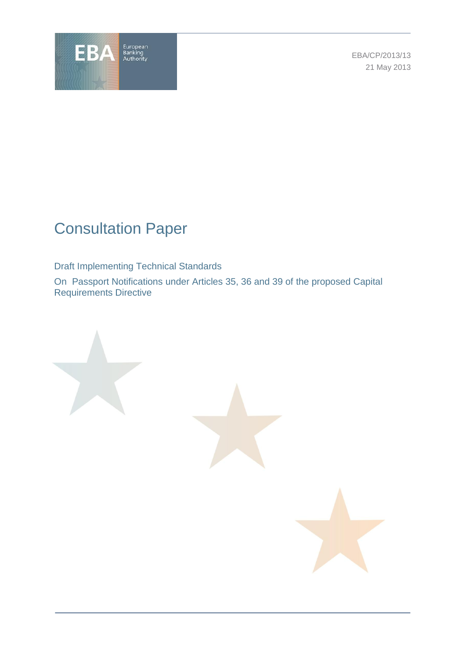

EBA/CP/2013/13 21 May 2013

# Consultation Paper

Draft Implementing Technical Standards

On Passport Notifications under Articles 35, 36 and 39 of the proposed Capital Requirements Directive

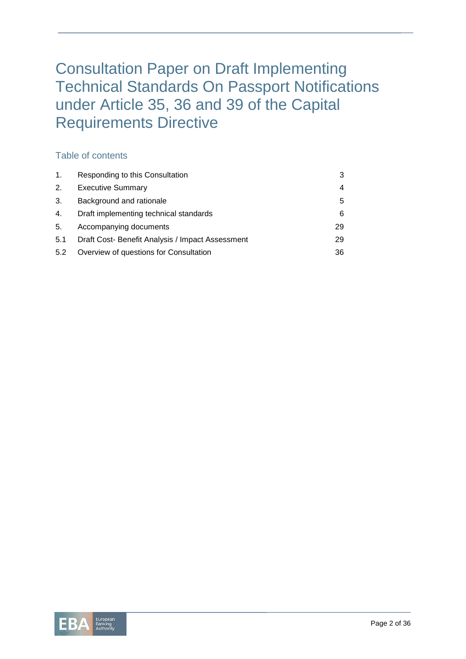# Consultation Paper on Draft Implementing Technical Standards On Passport Notifications under Article 35, 36 and 39 of the Capital Requirements Directive

# Table of contents

| $\mathbf{1}$ . | Responding to this Consultation                  |    |
|----------------|--------------------------------------------------|----|
| 2.             | <b>Executive Summary</b>                         |    |
| 3.             | Background and rationale                         | 5  |
| 4.             | Draft implementing technical standards           | 6  |
| 5.             | Accompanying documents                           | 29 |
| 5.1            | Draft Cost- Benefit Analysis / Impact Assessment | 29 |
| 5.2            | Overview of questions for Consultation           | 36 |

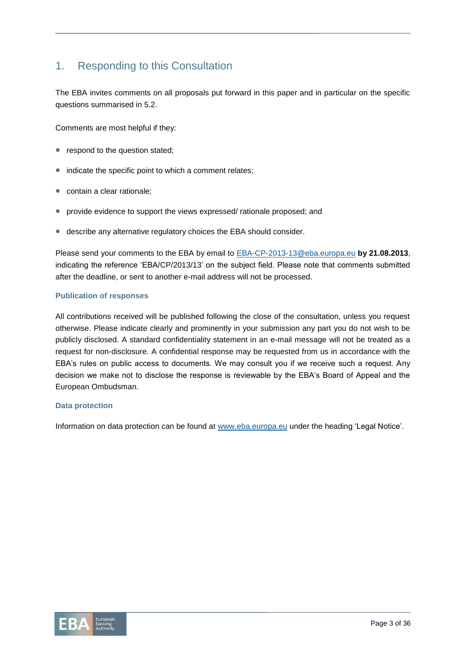# 1. Responding to this Consultation

The EBA invites comments on all proposals put forward in this paper and in particular on the specific questions summarised in 5.2.

Comments are most helpful if they:

- respond to the question stated;
- indicate the specific point to which a comment relates;
- contain a clear rationale;
- provide evidence to support the views expressed/ rationale proposed; and
- describe any alternative regulatory choices the EBA should consider.

Please send your comments to the EBA by email to [EBA-CP-2013-13@eba.europa.eu](mailto:EBA-CP-2013-13@eba.europa.eu) **by 21.08.2013**, indicating the reference 'EBA/CP/2013/13' on the subject field. Please note that comments submitted after the deadline, or sent to another e-mail address will not be processed.

#### **Publication of responses**

All contributions received will be published following the close of the consultation, unless you request otherwise. Please indicate clearly and prominently in your submission any part you do not wish to be publicly disclosed. A standard confidentiality statement in an e-mail message will not be treated as a request for non-disclosure. A confidential response may be requested from us in accordance with the EBA's rules on public access to documents. We may consult you if we receive such a request. Any decision we make not to disclose the response is reviewable by the EBA's Board of Appeal and the European Ombudsman.

#### **Data protection**

Information on data protection can be found at [www.eba.europa.eu](http://www.eba.europa.eu/) under the heading 'Legal Notice'.

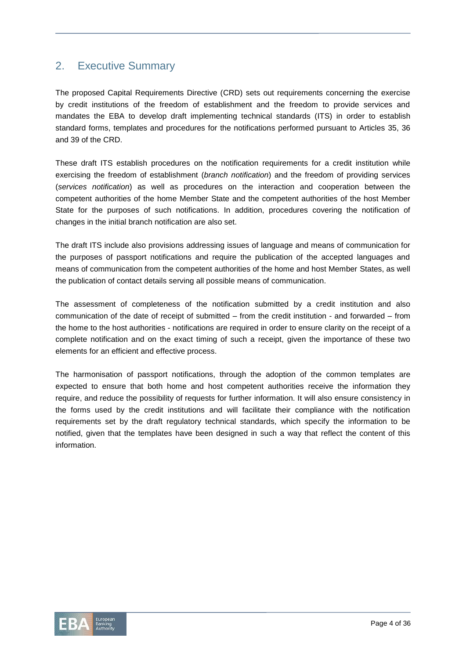# 2. Executive Summary

The proposed Capital Requirements Directive (CRD) sets out requirements concerning the exercise by credit institutions of the freedom of establishment and the freedom to provide services and mandates the EBA to develop draft implementing technical standards (ITS) in order to establish standard forms, templates and procedures for the notifications performed pursuant to Articles 35, 36 and 39 of the CRD.

These draft ITS establish procedures on the notification requirements for a credit institution while exercising the freedom of establishment (*branch notification*) and the freedom of providing services (*services notification*) as well as procedures on the interaction and cooperation between the competent authorities of the home Member State and the competent authorities of the host Member State for the purposes of such notifications. In addition, procedures covering the notification of changes in the initial branch notification are also set.

The draft ITS include also provisions addressing issues of language and means of communication for the purposes of passport notifications and require the publication of the accepted languages and means of communication from the competent authorities of the home and host Member States, as well the publication of contact details serving all possible means of communication.

The assessment of completeness of the notification submitted by a credit institution and also communication of the date of receipt of submitted – from the credit institution - and forwarded – from the home to the host authorities - notifications are required in order to ensure clarity on the receipt of a complete notification and on the exact timing of such a receipt, given the importance of these two elements for an efficient and effective process.

The harmonisation of passport notifications, through the adoption of the common templates are expected to ensure that both home and host competent authorities receive the information they require, and reduce the possibility of requests for further information. It will also ensure consistency in the forms used by the credit institutions and will facilitate their compliance with the notification requirements set by the draft regulatory technical standards, which specify the information to be notified, given that the templates have been designed in such a way that reflect the content of this information.

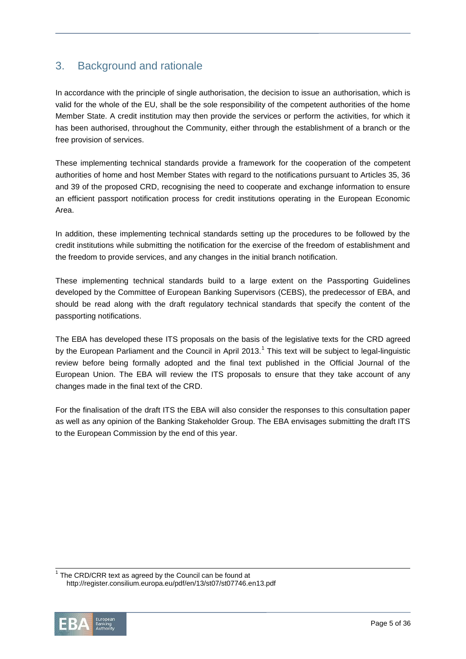# 3. Background and rationale

In accordance with the principle of single authorisation, the decision to issue an authorisation, which is valid for the whole of the EU, shall be the sole responsibility of the competent authorities of the home Member State. A credit institution may then provide the services or perform the activities, for which it has been authorised, throughout the Community, either through the establishment of a branch or the free provision of services.

These implementing technical standards provide a framework for the cooperation of the competent authorities of home and host Member States with regard to the notifications pursuant to Articles 35, 36 and 39 of the proposed CRD, recognising the need to cooperate and exchange information to ensure an efficient passport notification process for credit institutions operating in the European Economic Area.

In addition, these implementing technical standards setting up the procedures to be followed by the credit institutions while submitting the notification for the exercise of the freedom of establishment and the freedom to provide services, and any changes in the initial branch notification.

These implementing technical standards build to a large extent on the Passporting Guidelines developed by the Committee of European Banking Supervisors (CEBS), the predecessor of EBA, and should be read along with the draft regulatory technical standards that specify the content of the passporting notifications.

The EBA has developed these ITS proposals on the basis of the legislative texts for the CRD agreed by the European Parliament and the Council in April 2013.<sup>1</sup> This text will be subject to legal-linguistic review before being formally adopted and the final text published in the Official Journal of the European Union. The EBA will review the ITS proposals to ensure that they take account of any changes made in the final text of the CRD.

For the finalisation of the draft ITS the EBA will also consider the responses to this consultation paper as well as any opinion of the Banking Stakeholder Group. The EBA envisages submitting the draft ITS to the European Commission by the end of this year.

 $1$  The CRD/CRR text as agreed by the Council can be found at http://register.consilium.europa.eu/pdf/en/13/st07/st07746.en13.pdf

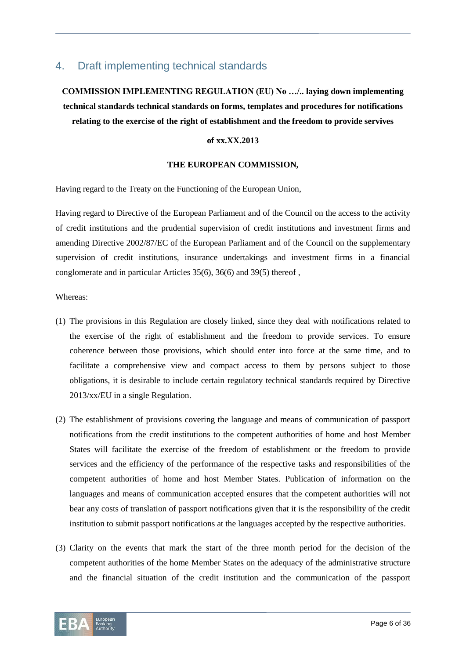# 4. Draft implementing technical standards

# **COMMISSION IMPLEMENTING REGULATION (EU) No …/.. laying down implementing technical standards technical standards on forms, templates and procedures for notifications relating to the exercise of the right of establishment and the freedom to provide servives**

#### **of xx.XX.2013**

#### **THE EUROPEAN COMMISSION,**

Having regard to the Treaty on the Functioning of the European Union,

Having regard to Directive of the European Parliament and of the Council on the access to the activity of credit institutions and the prudential supervision of credit institutions and investment firms and amending Directive 2002/87/EC of the European Parliament and of the Council on the supplementary supervision of credit institutions, insurance undertakings and investment firms in a financial conglomerate and in particular Articles 35(6), 36(6) and 39(5) thereof ,

Whereas:

- (1) The provisions in this Regulation are closely linked, since they deal with notifications related to the exercise of the right of establishment and the freedom to provide services. To ensure coherence between those provisions, which should enter into force at the same time, and to facilitate a comprehensive view and compact access to them by persons subject to those obligations, it is desirable to include certain regulatory technical standards required by Directive 2013/xx/EU in a single Regulation.
- (2) The establishment of provisions covering the language and means of communication of passport notifications from the credit institutions to the competent authorities of home and host Member States will facilitate the exercise of the freedom of establishment or the freedom to provide services and the efficiency of the performance of the respective tasks and responsibilities of the competent authorities of home and host Member States. Publication of information on the languages and means of communication accepted ensures that the competent authorities will not bear any costs of translation of passport notifications given that it is the responsibility of the credit institution to submit passport notifications at the languages accepted by the respective authorities.
- (3) Clarity on the events that mark the start of the three month period for the decision of the competent authorities of the home Member States on the adequacy of the administrative structure and the financial situation of the credit institution and the communication of the passport

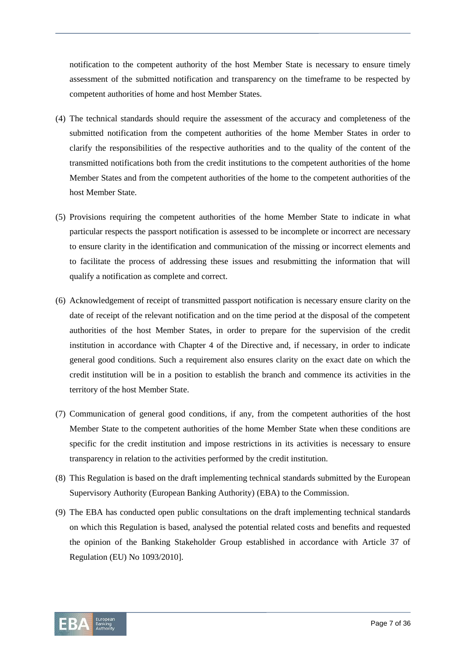notification to the competent authority of the host Member State is necessary to ensure timely assessment of the submitted notification and transparency on the timeframe to be respected by competent authorities of home and host Member States.

- (4) The technical standards should require the assessment of the accuracy and completeness of the submitted notification from the competent authorities of the home Member States in order to clarify the responsibilities of the respective authorities and to the quality of the content of the transmitted notifications both from the credit institutions to the competent authorities of the home Member States and from the competent authorities of the home to the competent authorities of the host Member State.
- (5) Provisions requiring the competent authorities of the home Member State to indicate in what particular respects the passport notification is assessed to be incomplete or incorrect are necessary to ensure clarity in the identification and communication of the missing or incorrect elements and to facilitate the process of addressing these issues and resubmitting the information that will qualify a notification as complete and correct.
- (6) Acknowledgement of receipt of transmitted passport notification is necessary ensure clarity on the date of receipt of the relevant notification and on the time period at the disposal of the competent authorities of the host Member States, in order to prepare for the supervision of the credit institution in accordance with Chapter 4 of the Directive and, if necessary, in order to indicate general good conditions. Such a requirement also ensures clarity on the exact date on which the credit institution will be in a position to establish the branch and commence its activities in the territory of the host Member State.
- (7) Communication of general good conditions, if any, from the competent authorities of the host Member State to the competent authorities of the home Member State when these conditions are specific for the credit institution and impose restrictions in its activities is necessary to ensure transparency in relation to the activities performed by the credit institution.
- (8) This Regulation is based on the draft implementing technical standards submitted by the European Supervisory Authority (European Banking Authority) (EBA) to the Commission.
- (9) The EBA has conducted open public consultations on the draft implementing technical standards on which this Regulation is based, analysed the potential related costs and benefits and requested the opinion of the Banking Stakeholder Group established in accordance with Article 37 of Regulation (EU) No 1093/2010].

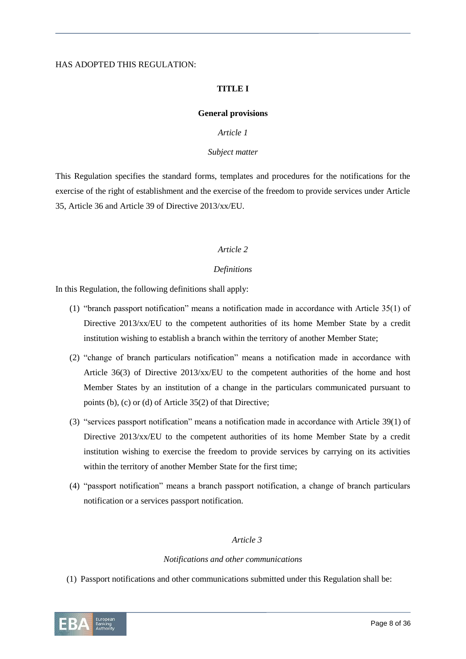#### HAS ADOPTED THIS REGULATION:

#### **TITLE I**

#### **General provisions**

#### *Article 1*

#### *Subject matter*

This Regulation specifies the standard forms, templates and procedures for the notifications for the exercise of the right of establishment and the exercise of the freedom to provide services under Article 35, Article 36 and Article 39 of Directive 2013/xx/EU.

#### *Article 2*

#### *Definitions*

In this Regulation, the following definitions shall apply:

- (1) "branch passport notification" means a notification made in accordance with Article 35(1) of Directive 2013/xx/EU to the competent authorities of its home Member State by a credit institution wishing to establish a branch within the territory of another Member State;
- (2) "change of branch particulars notification" means a notification made in accordance with Article 36(3) of Directive 2013/xx/EU to the competent authorities of the home and host Member States by an institution of a change in the particulars communicated pursuant to points (b), (c) or (d) of Article 35(2) of that Directive;
- (3) "services passport notification" means a notification made in accordance with Article 39(1) of Directive 2013/xx/EU to the competent authorities of its home Member State by a credit institution wishing to exercise the freedom to provide services by carrying on its activities within the territory of another Member State for the first time;
- (4) "passport notification" means a branch passport notification, a change of branch particulars notification or a services passport notification.

#### *Article 3*

#### *Notifications and other communications*

(1) Passport notifications and other communications submitted under this Regulation shall be:

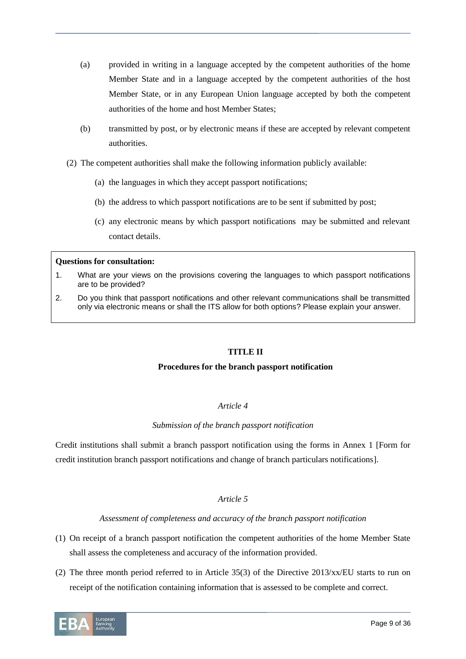- (a) provided in writing in a language accepted by the competent authorities of the home Member State and in a language accepted by the competent authorities of the host Member State, or in any European Union language accepted by both the competent authorities of the home and host Member States;
- (b) transmitted by post, or by electronic means if these are accepted by relevant competent authorities.
- (2) The competent authorities shall make the following information publicly available:
	- (a) the languages in which they accept passport notifications;
	- (b) the address to which passport notifications are to be sent if submitted by post;
	- (c) any electronic means by which passport notifications may be submitted and relevant contact details.

#### **Questions for consultation:**

- 1. What are your views on the provisions covering the languages to which passport notifications are to be provided?
- 2. Do you think that passport notifications and other relevant communications shall be transmitted only via electronic means or shall the ITS allow for both options? Please explain your answer.

#### **TITLE II**

#### **Procedures for the branch passport notification**

#### *Article 4*

#### *Submission of the branch passport notification*

Credit institutions shall submit a branch passport notification using the forms in Annex 1 [Form for credit institution branch passport notifications and change of branch particulars notifications].

#### *Article 5*

#### *Assessment of completeness and accuracy of the branch passport notification*

- (1) On receipt of a branch passport notification the competent authorities of the home Member State shall assess the completeness and accuracy of the information provided.
- (2) The three month period referred to in Article 35(3) of the Directive 2013/xx/EU starts to run on receipt of the notification containing information that is assessed to be complete and correct.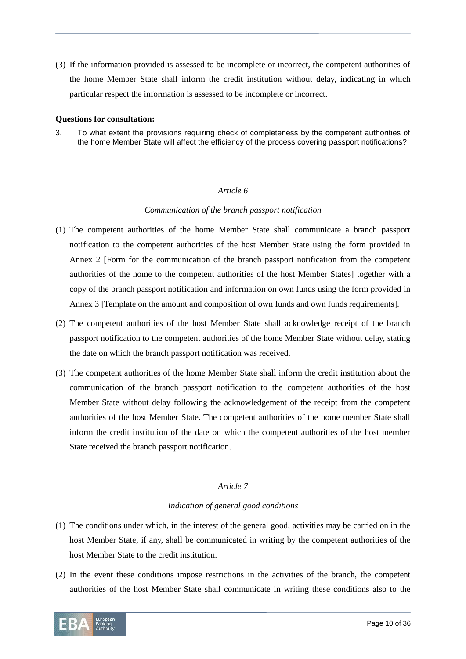(3) If the information provided is assessed to be incomplete or incorrect, the competent authorities of the home Member State shall inform the credit institution without delay, indicating in which particular respect the information is assessed to be incomplete or incorrect.

#### **Questions for consultation:**

3. To what extent the provisions requiring check of completeness by the competent authorities of the home Member State will affect the efficiency of the process covering passport notifications?

#### *Article 6*

#### *Communication of the branch passport notification*

- (1) The competent authorities of the home Member State shall communicate a branch passport notification to the competent authorities of the host Member State using the form provided in Annex 2 [Form for the communication of the branch passport notification from the competent authorities of the home to the competent authorities of the host Member States] together with a copy of the branch passport notification and information on own funds using the form provided in Annex 3 [Template on the amount and composition of own funds and own funds requirements].
- (2) The competent authorities of the host Member State shall acknowledge receipt of the branch passport notification to the competent authorities of the home Member State without delay, stating the date on which the branch passport notification was received.
- (3) The competent authorities of the home Member State shall inform the credit institution about the communication of the branch passport notification to the competent authorities of the host Member State without delay following the acknowledgement of the receipt from the competent authorities of the host Member State. The competent authorities of the home member State shall inform the credit institution of the date on which the competent authorities of the host member State received the branch passport notification.

#### *Article 7*

#### *Indication of general good conditions*

- (1) The conditions under which, in the interest of the general good, activities may be carried on in the host Member State, if any, shall be communicated in writing by the competent authorities of the host Member State to the credit institution.
- (2) In the event these conditions impose restrictions in the activities of the branch, the competent authorities of the host Member State shall communicate in writing these conditions also to the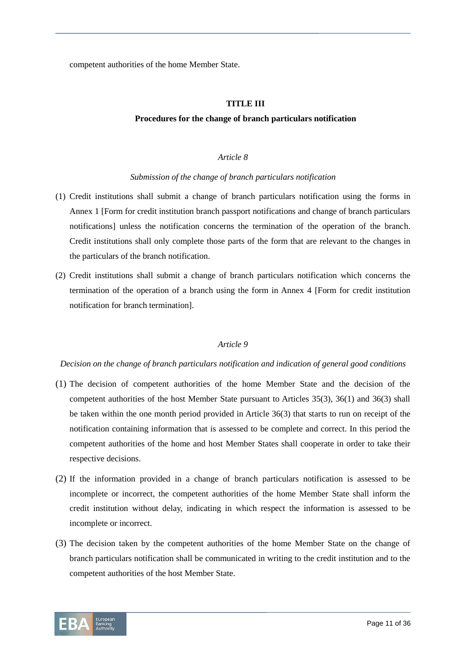competent authorities of the home Member State.

#### **TITLE III**

#### **Procedures for the change of branch particulars notification**

#### *Article 8*

#### *Submission of the change of branch particulars notification*

- (1) Credit institutions shall submit a change of branch particulars notification using the forms in Annex 1 [Form for credit institution branch passport notifications and change of branch particulars notifications] unless the notification concerns the termination of the operation of the branch. Credit institutions shall only complete those parts of the form that are relevant to the changes in the particulars of the branch notification.
- (2) Credit institutions shall submit a change of branch particulars notification which concerns the termination of the operation of a branch using the form in Annex 4 [Form for credit institution notification for branch termination].

#### *Article 9*

#### *Decision on the change of branch particulars notification and indication of general good conditions*

- (1) The decision of competent authorities of the home Member State and the decision of the competent authorities of the host Member State pursuant to Articles 35(3), 36(1) and 36(3) shall be taken within the one month period provided in Article 36(3) that starts to run on receipt of the notification containing information that is assessed to be complete and correct. In this period the competent authorities of the home and host Member States shall cooperate in order to take their respective decisions.
- (2) If the information provided in a change of branch particulars notification is assessed to be incomplete or incorrect, the competent authorities of the home Member State shall inform the credit institution without delay, indicating in which respect the information is assessed to be incomplete or incorrect.
- (3) The decision taken by the competent authorities of the home Member State on the change of branch particulars notification shall be communicated in writing to the credit institution and to the competent authorities of the host Member State.

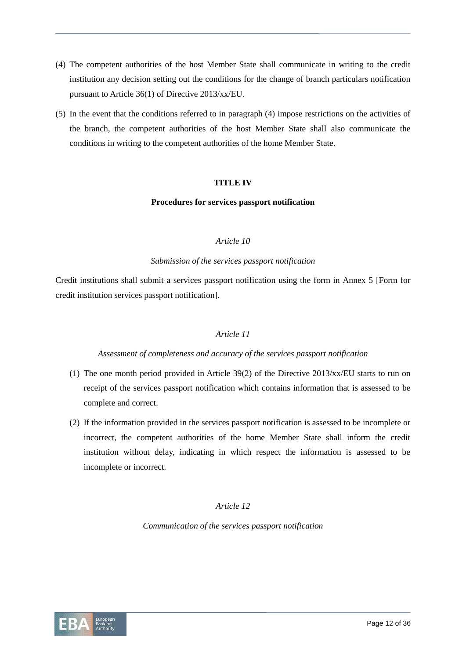- (4) The competent authorities of the host Member State shall communicate in writing to the credit institution any decision setting out the conditions for the change of branch particulars notification pursuant to Article 36(1) of Directive 2013/xx/EU.
- (5) In the event that the conditions referred to in paragraph (4) impose restrictions on the activities of the branch, the competent authorities of the host Member State shall also communicate the conditions in writing to the competent authorities of the home Member State.

#### **TITLE IV**

#### **Procedures for services passport notification**

#### *Article 10*

#### *Submission of the services passport notification*

Credit institutions shall submit a services passport notification using the form in Annex 5 [Form for credit institution services passport notification].

#### *Article 11*

#### *Assessment of completeness and accuracy of the services passport notification*

- (1) The one month period provided in Article 39(2) of the Directive  $2013/xx/EU$  starts to run on receipt of the services passport notification which contains information that is assessed to be complete and correct.
- (2) If the information provided in the services passport notification is assessed to be incomplete or incorrect, the competent authorities of the home Member State shall inform the credit institution without delay, indicating in which respect the information is assessed to be incomplete or incorrect.

#### *Article 12*

*Communication of the services passport notification*

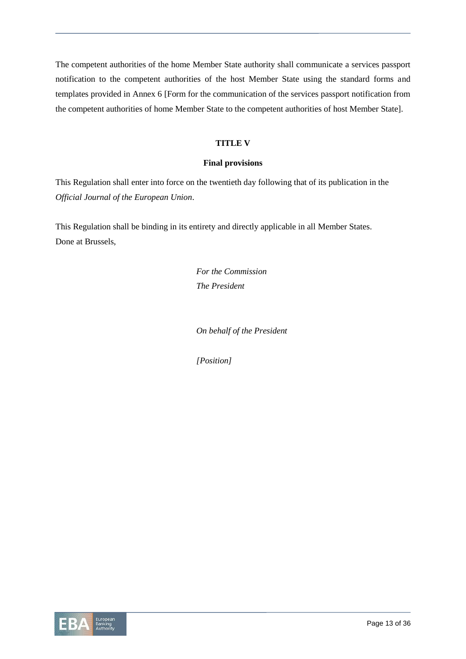The competent authorities of the home Member State authority shall communicate a services passport notification to the competent authorities of the host Member State using the standard forms and templates provided in Annex 6 [Form for the communication of the services passport notification from the competent authorities of home Member State to the competent authorities of host Member State].

#### **TITLE V**

#### **Final provisions**

This Regulation shall enter into force on the twentieth day following that of its publication in the *Official Journal of the European Union*.

This Regulation shall be binding in its entirety and directly applicable in all Member States. Done at Brussels,

> *For the Commission The President*

*On behalf of the President*

*[Position]*

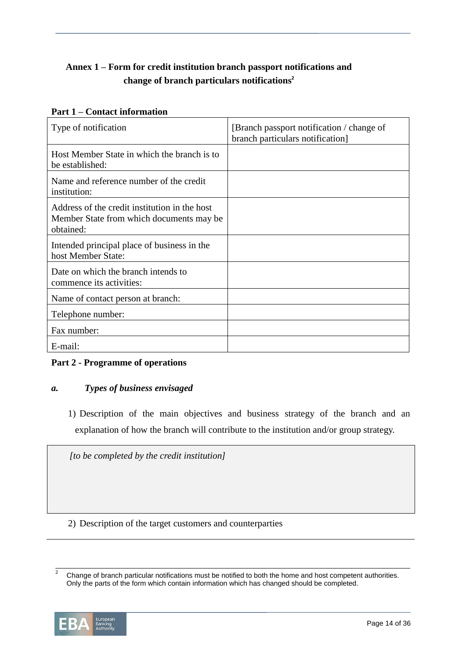# **Annex 1 – Form for credit institution branch passport notifications and change of branch particulars notifications<sup>2</sup>**

### **Part 1 – Contact information**

| Type of notification                                                                                   | [Branch passport notification / change of<br>branch particulars notification] |
|--------------------------------------------------------------------------------------------------------|-------------------------------------------------------------------------------|
| Host Member State in which the branch is to<br>be established:                                         |                                                                               |
| Name and reference number of the credit<br>institution:                                                |                                                                               |
| Address of the credit institution in the host<br>Member State from which documents may be<br>obtained: |                                                                               |
| Intended principal place of business in the<br>host Member State:                                      |                                                                               |
| Date on which the branch intends to<br>commence its activities:                                        |                                                                               |
| Name of contact person at branch:                                                                      |                                                                               |
| Telephone number:                                                                                      |                                                                               |
| Fax number:                                                                                            |                                                                               |
| E-mail:                                                                                                |                                                                               |

### **Part 2 - Programme of operations**

### *a. Types of business envisaged*

1) Description of the main objectives and business strategy of the branch and an explanation of how the branch will contribute to the institution and/or group strategy.

*[to be completed by the credit institution]*

2) Description of the target customers and counterparties

 $\overline{2}$ <sup>2</sup> Change of branch particular notifications must be notified to both the home and host competent authorities. Only the parts of the form which contain information which has changed should be completed.

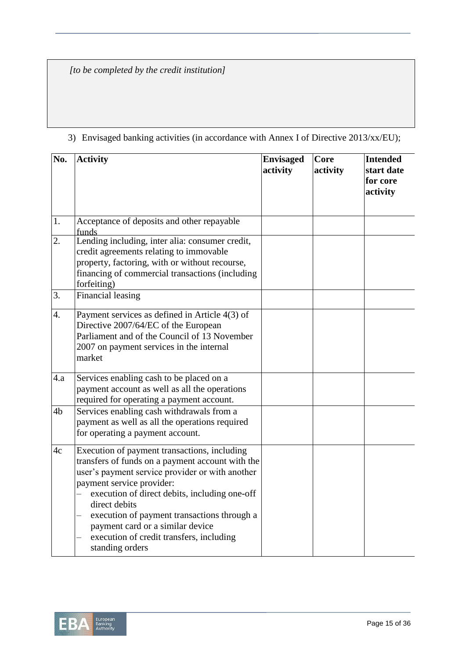*[to be completed by the credit institution]*

| No.              | <b>Activity</b>                                                                                                                                                                                                                                                                                                                                                                                      | <b>Envisaged</b><br>activity | Core<br>activity | <b>Intended</b><br>start date<br>for core<br>activity |
|------------------|------------------------------------------------------------------------------------------------------------------------------------------------------------------------------------------------------------------------------------------------------------------------------------------------------------------------------------------------------------------------------------------------------|------------------------------|------------------|-------------------------------------------------------|
| 1.               | Acceptance of deposits and other repayable<br>funds                                                                                                                                                                                                                                                                                                                                                  |                              |                  |                                                       |
| 2.               | Lending including, inter alia: consumer credit,<br>credit agreements relating to immovable<br>property, factoring, with or without recourse,<br>financing of commercial transactions (including<br>forfeiting)                                                                                                                                                                                       |                              |                  |                                                       |
| 3.               | Financial leasing                                                                                                                                                                                                                                                                                                                                                                                    |                              |                  |                                                       |
| $\overline{4}$ . | Payment services as defined in Article 4(3) of<br>Directive 2007/64/EC of the European<br>Parliament and of the Council of 13 November<br>2007 on payment services in the internal<br>market                                                                                                                                                                                                         |                              |                  |                                                       |
| 4.a              | Services enabling cash to be placed on a<br>payment account as well as all the operations<br>required for operating a payment account.                                                                                                                                                                                                                                                               |                              |                  |                                                       |
| 4 <sub>b</sub>   | Services enabling cash withdrawals from a<br>payment as well as all the operations required<br>for operating a payment account.                                                                                                                                                                                                                                                                      |                              |                  |                                                       |
| 4c               | Execution of payment transactions, including<br>transfers of funds on a payment account with the<br>user's payment service provider or with another<br>payment service provider:<br>execution of direct debits, including one-off<br>direct debits<br>execution of payment transactions through a<br>payment card or a similar device<br>execution of credit transfers, including<br>standing orders |                              |                  |                                                       |

# 3) Envisaged banking activities (in accordance with Annex I of Directive 2013/xx/EU);

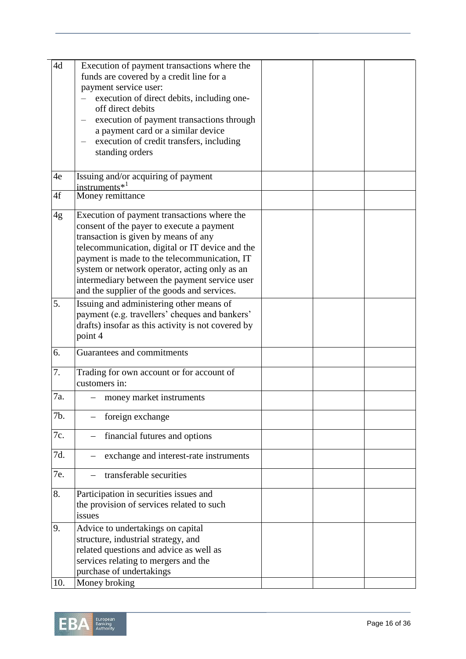| 4d  | Execution of payment transactions where the                   |  |  |
|-----|---------------------------------------------------------------|--|--|
|     | funds are covered by a credit line for a                      |  |  |
|     | payment service user:                                         |  |  |
|     | execution of direct debits, including one-                    |  |  |
|     | off direct debits                                             |  |  |
|     | execution of payment transactions through                     |  |  |
|     | a payment card or a similar device                            |  |  |
|     | execution of credit transfers, including<br>$\qquad \qquad -$ |  |  |
|     | standing orders                                               |  |  |
|     |                                                               |  |  |
| 4e  | Issuing and/or acquiring of payment                           |  |  |
|     | instruments $*^1$                                             |  |  |
| 4f  | Money remittance                                              |  |  |
| 4g  | Execution of payment transactions where the                   |  |  |
|     | consent of the payer to execute a payment                     |  |  |
|     | transaction is given by means of any                          |  |  |
|     | telecommunication, digital or IT device and the               |  |  |
|     | payment is made to the telecommunication, IT                  |  |  |
|     | system or network operator, acting only as an                 |  |  |
|     | intermediary between the payment service user                 |  |  |
|     | and the supplier of the goods and services.                   |  |  |
| 5.  | Issuing and administering other means of                      |  |  |
|     | payment (e.g. travellers' cheques and bankers'                |  |  |
|     | drafts) insofar as this activity is not covered by            |  |  |
|     | point 4                                                       |  |  |
|     |                                                               |  |  |
| 6.  | Guarantees and commitments                                    |  |  |
| 7.  | Trading for own account or for account of                     |  |  |
|     | customers in:                                                 |  |  |
| 7a. | money market instruments                                      |  |  |
| 7b. | foreign exchange                                              |  |  |
|     |                                                               |  |  |
| 7c. | financial futures and options                                 |  |  |
| 7d. | exchange and interest-rate instruments                        |  |  |
|     |                                                               |  |  |
| 7e. | transferable securities                                       |  |  |
| 8.  | Participation in securities issues and                        |  |  |
|     | the provision of services related to such                     |  |  |
|     | issues                                                        |  |  |
| 9.  | Advice to undertakings on capital                             |  |  |
|     | structure, industrial strategy, and                           |  |  |
|     | related questions and advice as well as                       |  |  |
|     | services relating to mergers and the                          |  |  |
|     | purchase of undertakings                                      |  |  |
| 10. | Money broking                                                 |  |  |

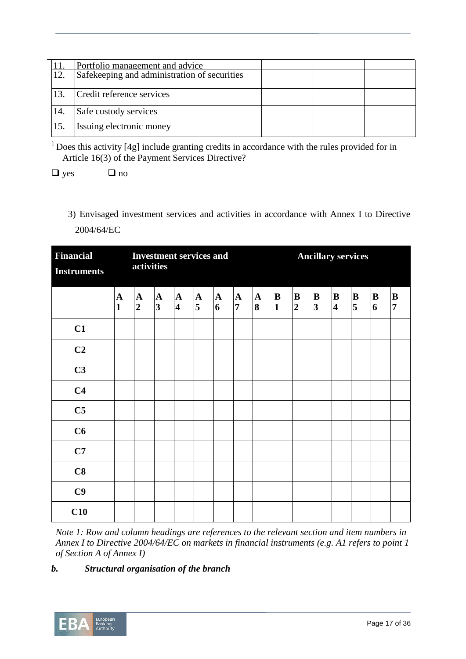|      | Portfolio management and advice              |  |  |
|------|----------------------------------------------|--|--|
| 12.  | Safekeeping and administration of securities |  |  |
| 13.  | Credit reference services                    |  |  |
| 14.  | Safe custody services                        |  |  |
| 115. | Issuing electronic money                     |  |  |

 $1$  Does this activity [4g] include granting credits in accordance with the rules provided for in Article 16(3) of the Payment Services Directive?

 $\Box$  yes  $\Box$  no

3) Envisaged investment services and activities in accordance with Annex I to Directive 2004/64/EC

| <b>Financial</b><br><b>Instruments</b> | <b>Investment services and</b><br>activities |                             |                                        |                                        |                  |                                | <b>Ancillary services</b>      |                   |                           |                                |                              |                              |                                     |                              |                                |
|----------------------------------------|----------------------------------------------|-----------------------------|----------------------------------------|----------------------------------------|------------------|--------------------------------|--------------------------------|-------------------|---------------------------|--------------------------------|------------------------------|------------------------------|-------------------------------------|------------------------------|--------------------------------|
|                                        | ${\bf A}$<br>$\mathbf{1}$                    | ${\bf A}$<br>$\overline{2}$ | $\mathbf A$<br>$\overline{\mathbf{3}}$ | $\mathbf A$<br>$\overline{\mathbf{4}}$ | $\mathbf A$<br>5 | $\mathbf{A}$<br>$\overline{6}$ | $\mathbf{A}$<br>$\overline{7}$ | $\mathbf{A}$<br>8 | ${\bf B}$<br>$\mathbf{1}$ | $\, {\bf B}$<br>$\overline{2}$ | B<br>$\overline{\mathbf{3}}$ | B<br>$\overline{\mathbf{4}}$ | $\bf{B}$<br>$\overline{\mathbf{5}}$ | $\bf{B}$<br>$\boldsymbol{6}$ | $\, {\bf B}$<br>$\overline{7}$ |
| C1                                     |                                              |                             |                                        |                                        |                  |                                |                                |                   |                           |                                |                              |                              |                                     |                              |                                |
| C <sub>2</sub>                         |                                              |                             |                                        |                                        |                  |                                |                                |                   |                           |                                |                              |                              |                                     |                              |                                |
| C <sub>3</sub>                         |                                              |                             |                                        |                                        |                  |                                |                                |                   |                           |                                |                              |                              |                                     |                              |                                |
| C <sub>4</sub>                         |                                              |                             |                                        |                                        |                  |                                |                                |                   |                           |                                |                              |                              |                                     |                              |                                |
| C <sub>5</sub>                         |                                              |                             |                                        |                                        |                  |                                |                                |                   |                           |                                |                              |                              |                                     |                              |                                |
| C6                                     |                                              |                             |                                        |                                        |                  |                                |                                |                   |                           |                                |                              |                              |                                     |                              |                                |
| C7                                     |                                              |                             |                                        |                                        |                  |                                |                                |                   |                           |                                |                              |                              |                                     |                              |                                |
| C8                                     |                                              |                             |                                        |                                        |                  |                                |                                |                   |                           |                                |                              |                              |                                     |                              |                                |
| C9                                     |                                              |                             |                                        |                                        |                  |                                |                                |                   |                           |                                |                              |                              |                                     |                              |                                |
| C10                                    |                                              |                             |                                        |                                        |                  |                                |                                |                   |                           |                                |                              |                              |                                     |                              |                                |

*Note 1: Row and column headings are references to the relevant section and item numbers in Annex I to Directive 2004/64/EC on markets in financial instruments (e.g. A1 refers to point 1 of Section A of Annex I)*

## *b. Structural organisation of the branch*

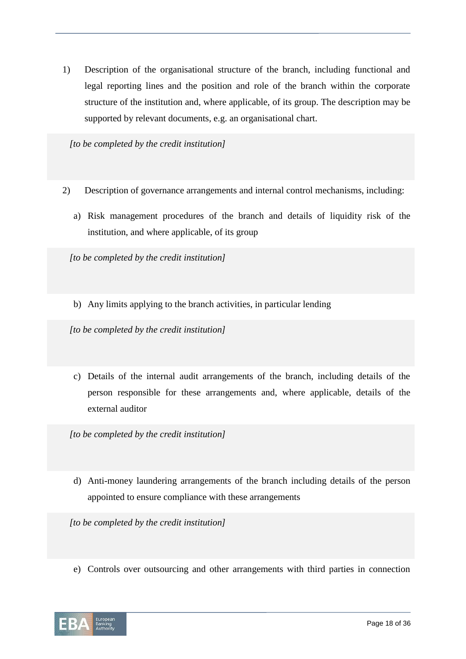1) Description of the organisational structure of the branch, including functional and legal reporting lines and the position and role of the branch within the corporate structure of the institution and, where applicable, of its group. The description may be supported by relevant documents, e.g. an organisational chart.

*[to be completed by the credit institution]*

- 2) Description of governance arrangements and internal control mechanisms, including:
	- a) Risk management procedures of the branch and details of liquidity risk of the institution, and where applicable, of its group

*[to be completed by the credit institution]*

b) Any limits applying to the branch activities, in particular lending

*[to be completed by the credit institution]*

c) Details of the internal audit arrangements of the branch, including details of the person responsible for these arrangements and, where applicable, details of the external auditor

*[to be completed by the credit institution]*

d) Anti-money laundering arrangements of the branch including details of the person appointed to ensure compliance with these arrangements

*[to be completed by the credit institution]*

e) Controls over outsourcing and other arrangements with third parties in connection

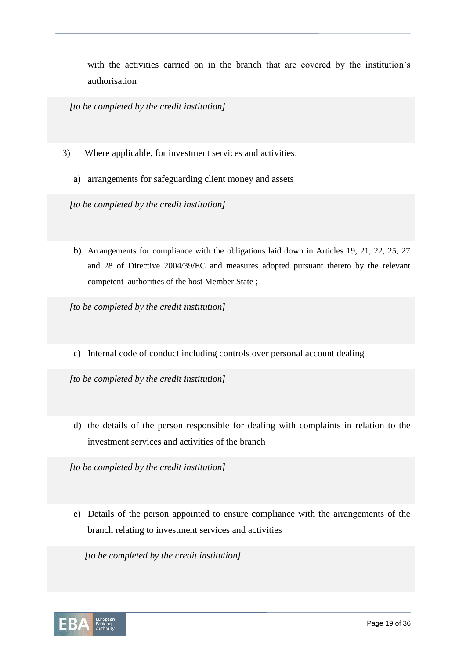with the activities carried on in the branch that are covered by the institution's authorisation

*[to be completed by the credit institution]*

- 3) Where applicable, for investment services and activities:
	- a) arrangements for safeguarding client money and assets

*[to be completed by the credit institution]*

b) Arrangements for compliance with the obligations laid down in Articles 19, 21, 22, 25, 27 and 28 of Directive 2004/39/EC and measures adopted pursuant thereto by the relevant competent authorities of the host Member State ;

*[to be completed by the credit institution]*

c) Internal code of conduct including controls over personal account dealing

*[to be completed by the credit institution]*

d) the details of the person responsible for dealing with complaints in relation to the investment services and activities of the branch

*[to be completed by the credit institution]*

e) Details of the person appointed to ensure compliance with the arrangements of the branch relating to investment services and activities

*[to be completed by the credit institution]*

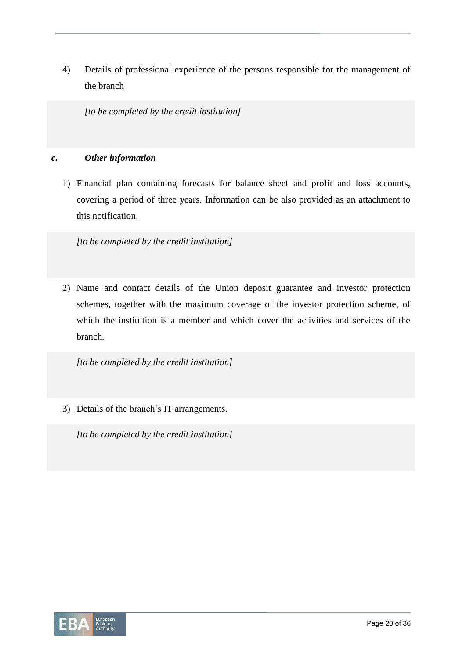4) Details of professional experience of the persons responsible for the management of the branch

*[to be completed by the credit institution]*

#### *c. Other information*

1) Financial plan containing forecasts for balance sheet and profit and loss accounts, covering a period of three years. Information can be also provided as an attachment to this notification.

*[to be completed by the credit institution]*

2) Name and contact details of the Union deposit guarantee and investor protection schemes, together with the maximum coverage of the investor protection scheme, of which the institution is a member and which cover the activities and services of the branch.

*[to be completed by the credit institution]*

3) Details of the branch's IT arrangements.

*[to be completed by the credit institution]*

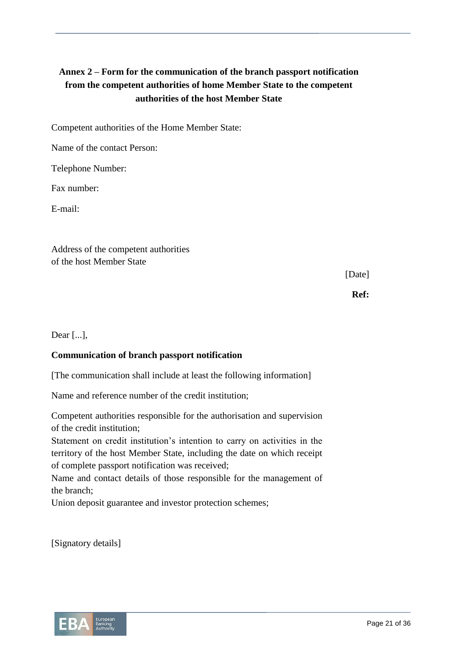# **Annex 2 – Form for the communication of the branch passport notification from the competent authorities of home Member State to the competent authorities of the host Member State**

Competent authorities of the Home Member State:

Name of the contact Person:

Telephone Number:

Fax number:

E-mail:

Address of the competent authorities of the host Member State

[Date]

**Ref:**

Dear [...],

### **Communication of branch passport notification**

[The communication shall include at least the following information]

Name and reference number of the credit institution;

Competent authorities responsible for the authorisation and supervision of the credit institution;

Statement on credit institution's intention to carry on activities in the territory of the host Member State, including the date on which receipt of complete passport notification was received;

Name and contact details of those responsible for the management of the branch;

Union deposit guarantee and investor protection schemes;

[Signatory details]

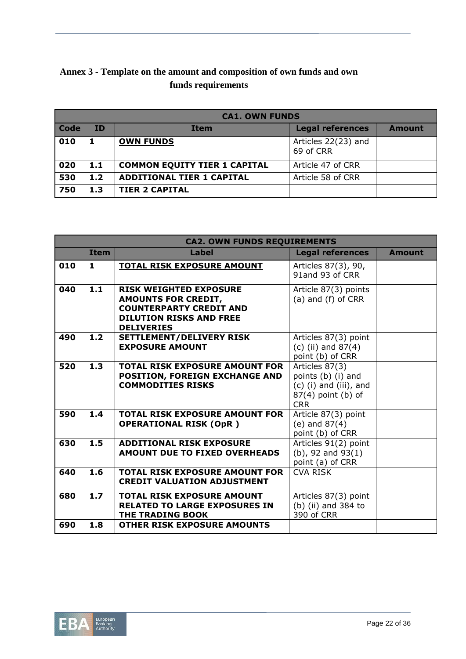| Annex 3 - Template on the amount and composition of own funds and own |  |
|-----------------------------------------------------------------------|--|
| funds requirements                                                    |  |

|             |           | <b>CA1. OWN FUNDS</b>               |                                  |               |  |  |  |  |  |  |
|-------------|-----------|-------------------------------------|----------------------------------|---------------|--|--|--|--|--|--|
| <b>Code</b> | <b>ID</b> | <b>Item</b>                         | <b>Legal references</b>          | <b>Amount</b> |  |  |  |  |  |  |
| 010         |           | <b>OWN FUNDS</b>                    | Articles 22(23) and<br>69 of CRR |               |  |  |  |  |  |  |
| 020         | 1.1       | <b>COMMON EQUITY TIER 1 CAPITAL</b> | Article 47 of CRR                |               |  |  |  |  |  |  |
| 530         | 1.2       | <b>ADDITIONAL TIER 1 CAPITAL</b>    | Article 58 of CRR                |               |  |  |  |  |  |  |
| 750         | 1.3       | <b>TIER 2 CAPITAL</b>               |                                  |               |  |  |  |  |  |  |

|     | <b>CA2. OWN FUNDS REQUIREMENTS</b> |                                                                                                                                                      |                                                                                                        |               |  |  |  |  |  |
|-----|------------------------------------|------------------------------------------------------------------------------------------------------------------------------------------------------|--------------------------------------------------------------------------------------------------------|---------------|--|--|--|--|--|
|     | <b>Item</b>                        | Label                                                                                                                                                | <b>Legal references</b>                                                                                | <b>Amount</b> |  |  |  |  |  |
| 010 | 1                                  | <b>TOTAL RISK EXPOSURE AMOUNT</b>                                                                                                                    | Articles 87(3), 90,<br>91and 93 of CRR                                                                 |               |  |  |  |  |  |
| 040 | 1.1                                | <b>RISK WEIGHTED EXPOSURE</b><br><b>AMOUNTS FOR CREDIT,</b><br><b>COUNTERPARTY CREDIT AND</b><br><b>DILUTION RISKS AND FREE</b><br><b>DELIVERIES</b> | Article 87(3) points<br>(a) and (f) of CRR                                                             |               |  |  |  |  |  |
| 490 | 1.2                                | SETTLEMENT/DELIVERY RISK<br><b>EXPOSURE AMOUNT</b>                                                                                                   | Articles 87(3) point<br>(c) (ii) and $87(4)$<br>point (b) of CRR                                       |               |  |  |  |  |  |
| 520 | 1.3                                | <b>TOTAL RISK EXPOSURE AMOUNT FOR</b><br><b>POSITION, FOREIGN EXCHANGE AND</b><br><b>COMMODITIES RISKS</b>                                           | Articles 87(3)<br>points (b) (i) and<br>$(c)$ (i) and (iii), and<br>$87(4)$ point (b) of<br><b>CRR</b> |               |  |  |  |  |  |
| 590 | 1.4                                | <b>TOTAL RISK EXPOSURE AMOUNT FOR</b><br><b>OPERATIONAL RISK (OpR)</b>                                                                               | Article 87(3) point<br>$(e)$ and $87(4)$<br>point (b) of CRR                                           |               |  |  |  |  |  |
| 630 | 1.5                                | <b>ADDITIONAL RISK EXPOSURE</b><br>AMOUNT DUE TO FIXED OVERHEADS                                                                                     | Articles 91(2) point<br>$(b)$ , 92 and 93 $(1)$<br>point (a) of CRR                                    |               |  |  |  |  |  |
| 640 | 1.6                                | <b>TOTAL RISK EXPOSURE AMOUNT FOR</b><br><b>CREDIT VALUATION ADJUSTMENT</b>                                                                          | CVA RISK                                                                                               |               |  |  |  |  |  |
| 680 | 1.7 <sub>2</sub>                   | <b>TOTAL RISK EXPOSURE AMOUNT</b><br><b>RELATED TO LARGE EXPOSURES IN</b><br>THE TRADING BOOK                                                        | Articles 87(3) point<br>(b) (ii) and 384 to<br>390 of CRR                                              |               |  |  |  |  |  |
| 690 | 1.8                                | <b>OTHER RISK EXPOSURE AMOUNTS</b>                                                                                                                   |                                                                                                        |               |  |  |  |  |  |

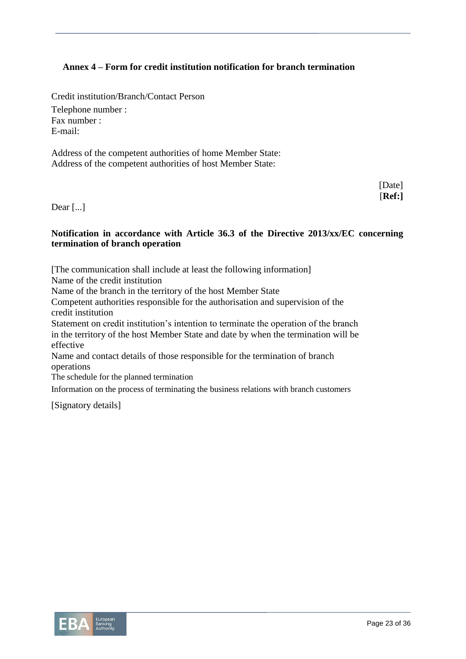### **Annex 4 – Form for credit institution notification for branch termination**

Credit institution/Branch/Contact Person Telephone number : Fax number : E-mail:

Address of the competent authorities of home Member State: Address of the competent authorities of host Member State:

> [Date] [**Ref:]**

Dear [...]

#### **Notification in accordance with Article 36.3 of the Directive 2013/xx/EC concerning termination of branch operation**

[The communication shall include at least the following information]

Name of the credit institution

Name of the branch in the territory of the host Member State

Competent authorities responsible for the authorisation and supervision of the credit institution

Statement on credit institution's intention to terminate the operation of the branch in the territory of the host Member State and date by when the termination will be effective

Name and contact details of those responsible for the termination of branch operations

The schedule for the planned termination

Information on the process of terminating the business relations with branch customers

[Signatory details]

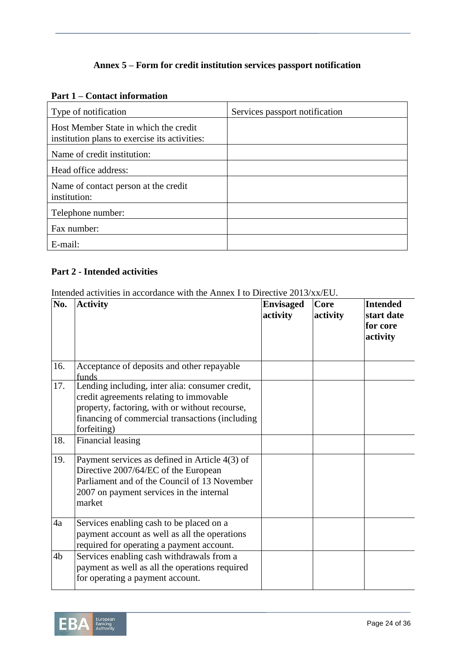# **Annex 5 – Form for credit institution services passport notification**

#### **Part 1 – Contact information**

| Type of notification                                                                   | Services passport notification |
|----------------------------------------------------------------------------------------|--------------------------------|
| Host Member State in which the credit<br>institution plans to exercise its activities: |                                |
| Name of credit institution:                                                            |                                |
| Head office address:                                                                   |                                |
| Name of contact person at the credit<br>institution:                                   |                                |
| Telephone number:                                                                      |                                |
| Fax number:                                                                            |                                |
| E-mail:                                                                                |                                |

# **Part 2 - Intended activities**

Intended activities in accordance with the Annex I to Directive 2013/xx/EU.

| No. | <b>Activity</b>                                                                                                                                                                                                | <b>Envisaged</b><br>activity | <b>Core</b><br>activity | <b>Intended</b><br>start date<br>for core<br>activity |
|-----|----------------------------------------------------------------------------------------------------------------------------------------------------------------------------------------------------------------|------------------------------|-------------------------|-------------------------------------------------------|
| 16. | Acceptance of deposits and other repayable<br>funds                                                                                                                                                            |                              |                         |                                                       |
| 17. | Lending including, inter alia: consumer credit,<br>credit agreements relating to immovable<br>property, factoring, with or without recourse,<br>financing of commercial transactions (including<br>forfeiting) |                              |                         |                                                       |
| 18. | Financial leasing                                                                                                                                                                                              |                              |                         |                                                       |
| 19. | Payment services as defined in Article $4(3)$ of<br>Directive 2007/64/EC of the European<br>Parliament and of the Council of 13 November<br>2007 on payment services in the internal<br>market                 |                              |                         |                                                       |
| 4a  | Services enabling cash to be placed on a<br>payment account as well as all the operations<br>required for operating a payment account.                                                                         |                              |                         |                                                       |
| 4b  | Services enabling cash withdrawals from a<br>payment as well as all the operations required<br>for operating a payment account.                                                                                |                              |                         |                                                       |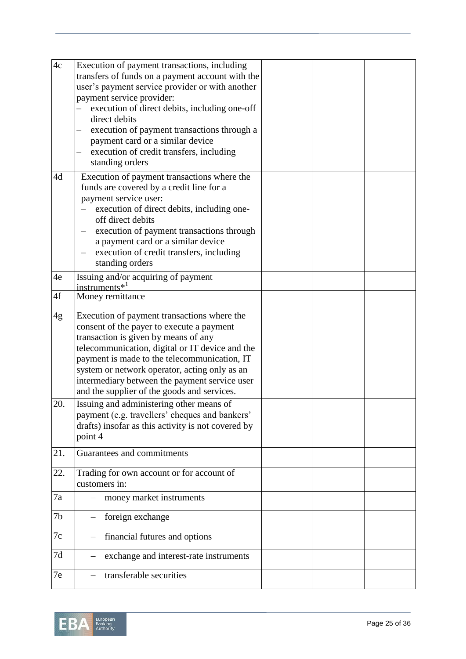| 4c  | Execution of payment transactions, including<br>transfers of funds on a payment account with the<br>user's payment service provider or with another<br>payment service provider:<br>execution of direct debits, including one-off<br>direct debits<br>execution of payment transactions through a<br>payment card or a similar device<br>execution of credit transfers, including<br>standing orders |  |  |
|-----|------------------------------------------------------------------------------------------------------------------------------------------------------------------------------------------------------------------------------------------------------------------------------------------------------------------------------------------------------------------------------------------------------|--|--|
| 4d  | Execution of payment transactions where the<br>funds are covered by a credit line for a<br>payment service user:<br>execution of direct debits, including one-<br>off direct debits<br>execution of payment transactions through<br>a payment card or a similar device<br>execution of credit transfers, including<br>standing orders                                                                |  |  |
| 4e  | Issuing and/or acquiring of payment<br>instruments $*^1$                                                                                                                                                                                                                                                                                                                                             |  |  |
| 4f  | Money remittance                                                                                                                                                                                                                                                                                                                                                                                     |  |  |
| 4g  | Execution of payment transactions where the<br>consent of the payer to execute a payment<br>transaction is given by means of any<br>telecommunication, digital or IT device and the<br>payment is made to the telecommunication, IT<br>system or network operator, acting only as an<br>intermediary between the payment service user<br>and the supplier of the goods and services.                 |  |  |
| 20. | Issuing and administering other means of<br>payment (e.g. travellers' cheques and bankers'<br>drafts) insofar as this activity is not covered by<br>point 4                                                                                                                                                                                                                                          |  |  |
| 21. | Guarantees and commitments                                                                                                                                                                                                                                                                                                                                                                           |  |  |
| 22. | Trading for own account or for account of<br>customers in:                                                                                                                                                                                                                                                                                                                                           |  |  |
| 7a  | money market instruments                                                                                                                                                                                                                                                                                                                                                                             |  |  |
| 7b  | foreign exchange                                                                                                                                                                                                                                                                                                                                                                                     |  |  |
| 7c  | financial futures and options                                                                                                                                                                                                                                                                                                                                                                        |  |  |
| 7d  | exchange and interest-rate instruments                                                                                                                                                                                                                                                                                                                                                               |  |  |
| 7e  | transferable securities                                                                                                                                                                                                                                                                                                                                                                              |  |  |

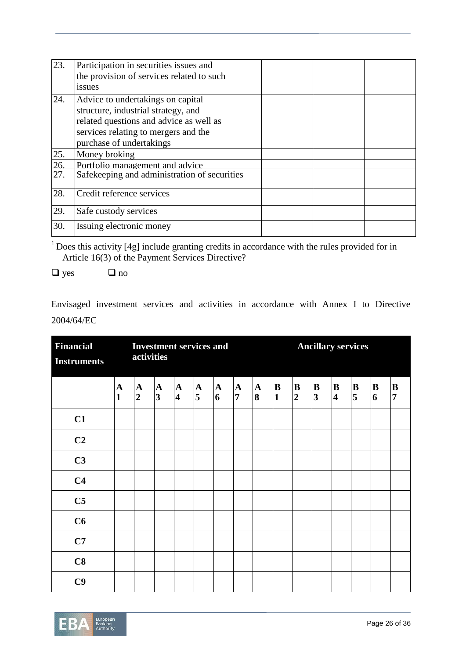| 23.             | Participation in securities issues and<br>the provision of services related to such<br>issues                                                                                           |  |  |
|-----------------|-----------------------------------------------------------------------------------------------------------------------------------------------------------------------------------------|--|--|
| 24.             | Advice to undertakings on capital<br>structure, industrial strategy, and<br>related questions and advice as well as<br>services relating to mergers and the<br>purchase of undertakings |  |  |
| 25.             | Money broking                                                                                                                                                                           |  |  |
| $\frac{26}{27}$ | Portfolio management and advice                                                                                                                                                         |  |  |
|                 | Safekeeping and administration of securities                                                                                                                                            |  |  |
| 28.             | Credit reference services                                                                                                                                                               |  |  |
| 29.             | Safe custody services                                                                                                                                                                   |  |  |
| 30.             | Issuing electronic money                                                                                                                                                                |  |  |

 $1$  Does this activity [4g] include granting credits in accordance with the rules provided for in Article 16(3) of the Payment Services Directive?

 $\Box$  yes  $\Box$  no

Envisaged investment services and activities in accordance with Annex I to Directive 2004/64/EC

| <b>Financial</b><br><b>Instruments</b> | <b>Investment services and</b><br>activities |                             |                                         |                                         |                   |                   | <b>Ancillary services</b>      |                   |                   |                            |                              |                              |                                     |                             |                                |
|----------------------------------------|----------------------------------------------|-----------------------------|-----------------------------------------|-----------------------------------------|-------------------|-------------------|--------------------------------|-------------------|-------------------|----------------------------|------------------------------|------------------------------|-------------------------------------|-----------------------------|--------------------------------|
|                                        | $\mathbf A$<br>$\mathbf{1}$                  | ${\bf A}$<br>$\overline{2}$ | $\mathbf{A}$<br>$\overline{\mathbf{3}}$ | $\mathbf{A}$<br>$\overline{\mathbf{4}}$ | $\mathbf{A}$<br>5 | $\mathbf{A}$<br>6 | $\mathbf{A}$<br>$\overline{7}$ | $\mathbf{A}$<br>8 | B<br>$\mathbf{1}$ | $\bf{B}$<br>$\overline{2}$ | B<br>$\overline{\mathbf{3}}$ | B<br>$\overline{\mathbf{4}}$ | $\bf{B}$<br>$\overline{\mathbf{5}}$ | ${\bf B}$<br>$\overline{6}$ | $\, {\bf B}$<br>$\overline{7}$ |
| C1                                     |                                              |                             |                                         |                                         |                   |                   |                                |                   |                   |                            |                              |                              |                                     |                             |                                |
| C2                                     |                                              |                             |                                         |                                         |                   |                   |                                |                   |                   |                            |                              |                              |                                     |                             |                                |
| C3                                     |                                              |                             |                                         |                                         |                   |                   |                                |                   |                   |                            |                              |                              |                                     |                             |                                |
| C <sub>4</sub>                         |                                              |                             |                                         |                                         |                   |                   |                                |                   |                   |                            |                              |                              |                                     |                             |                                |
| C <sub>5</sub>                         |                                              |                             |                                         |                                         |                   |                   |                                |                   |                   |                            |                              |                              |                                     |                             |                                |
| C6                                     |                                              |                             |                                         |                                         |                   |                   |                                |                   |                   |                            |                              |                              |                                     |                             |                                |
| C7                                     |                                              |                             |                                         |                                         |                   |                   |                                |                   |                   |                            |                              |                              |                                     |                             |                                |
| C8                                     |                                              |                             |                                         |                                         |                   |                   |                                |                   |                   |                            |                              |                              |                                     |                             |                                |
| C9                                     |                                              |                             |                                         |                                         |                   |                   |                                |                   |                   |                            |                              |                              |                                     |                             |                                |

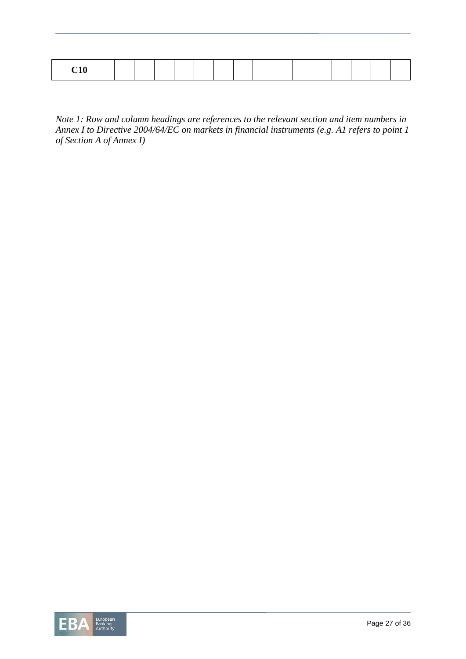|--|

*Note 1: Row and column headings are references to the relevant section and item numbers in Annex I to Directive 2004/64/EC on markets in financial instruments (e.g. A1 refers to point 1 of Section A of Annex I)*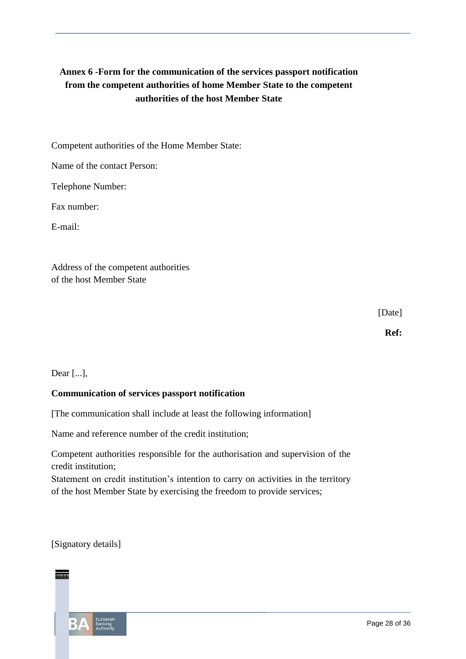# **Annex 6 -Form for the communication of the services passport notification from the competent authorities of home Member State to the competent authorities of the host Member State**

Competent authorities of the Home Member State:

Name of the contact Person:

Telephone Number:

Fax number:

E-mail:

Address of the competent authorities of the host Member State

[Date]

**Ref:**

Dear [...],

### **Communication of services passport notification**

[The communication shall include at least the following information]

Name and reference number of the credit institution;

Competent authorities responsible for the authorisation and supervision of the credit institution;

Statement on credit institution's intention to carry on activities in the territory of the host Member State by exercising the freedom to provide services;

[Signatory details]

**ID Item Legal references Amount** <sup>1</sup> **OWN FUNDS** Articles 22(23) and 69 of CRR .1 **COMMON EQUITY TIER 1 CAPITAL** Article 47 of CRR **Item Label Legal references Amount TOTAL RISK EXPOSURE AMOUNT** Articles 87(3), 90, 91and 93 of CRR **1.1 RISK WEIGHTED EXPOSURE AMOUNTS FOR CREDIT, COUNTERPARTY CREDIT AND DILUTION RISKS AND FREE DELIVERIES** Article 87(3) points (a) and (f) of CRR **1.2 SETTLEMENT/DELIVERY RISK EXPOSURE AMOUNT** Articles 87(3) point (c) (ii) and 87(4) point (b) of CRR  $\overline{\phantom{a}}$  and  $\overline{\phantom{a}}$ **1.4 TOTAL RISK EXPOSURE AMOUNT FOR OPERATIONAL RISK (OpR )** Article 87(3) point (e) and 87(4) point (b) of CRR Articles 91(2) point (b), 92 and 93(1) point (a) of CRR **1.6 TOTAL RISK EXPOSURE AMOUNT FOR CREDIT VALUATION ADJUSTMENT** CVA RISK **1.8 OTHER RISK EXPOSURE AMOUNTS OWN FUNDS REQUIREMENTS OWN FUNDS**

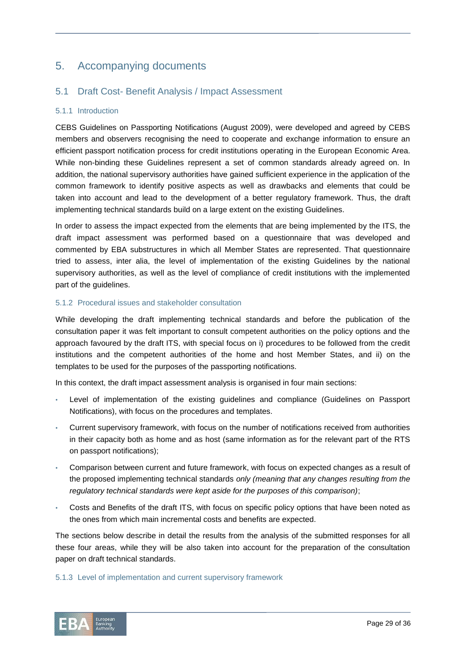# 5. Accompanying documents

## 5.1 Draft Cost- Benefit Analysis / Impact Assessment

#### 5.1.1 Introduction

CEBS Guidelines on Passporting Notifications (August 2009), were developed and agreed by CEBS members and observers recognising the need to cooperate and exchange information to ensure an efficient passport notification process for credit institutions operating in the European Economic Area. While non-binding these Guidelines represent a set of common standards already agreed on. In addition, the national supervisory authorities have gained sufficient experience in the application of the common framework to identify positive aspects as well as drawbacks and elements that could be taken into account and lead to the development of a better regulatory framework. Thus, the draft implementing technical standards build on a large extent on the existing Guidelines.

In order to assess the impact expected from the elements that are being implemented by the ITS, the draft impact assessment was performed based on a questionnaire that was developed and commented by EBA substructures in which all Member States are represented. That questionnaire tried to assess, inter alia, the level of implementation of the existing Guidelines by the national supervisory authorities, as well as the level of compliance of credit institutions with the implemented part of the guidelines.

#### 5.1.2 Procedural issues and stakeholder consultation

While developing the draft implementing technical standards and before the publication of the consultation paper it was felt important to consult competent authorities on the policy options and the approach favoured by the draft ITS, with special focus on i) procedures to be followed from the credit institutions and the competent authorities of the home and host Member States, and ii) on the templates to be used for the purposes of the passporting notifications.

In this context, the draft impact assessment analysis is organised in four main sections:

- Level of implementation of the existing guidelines and compliance (Guidelines on Passport Notifications), with focus on the procedures and templates.
- Current supervisory framework, with focus on the number of notifications received from authorities in their capacity both as home and as host (same information as for the relevant part of the RTS on passport notifications);
- Comparison between current and future framework, with focus on expected changes as a result of the proposed implementing technical standards *only (meaning that any changes resulting from the regulatory technical standards were kept aside for the purposes of this comparison)*;
- Costs and Benefits of the draft ITS, with focus on specific policy options that have been noted as the ones from which main incremental costs and benefits are expected.

The sections below describe in detail the results from the analysis of the submitted responses for all these four areas, while they will be also taken into account for the preparation of the consultation paper on draft technical standards.

#### 5.1.3 Level of implementation and current supervisory framework

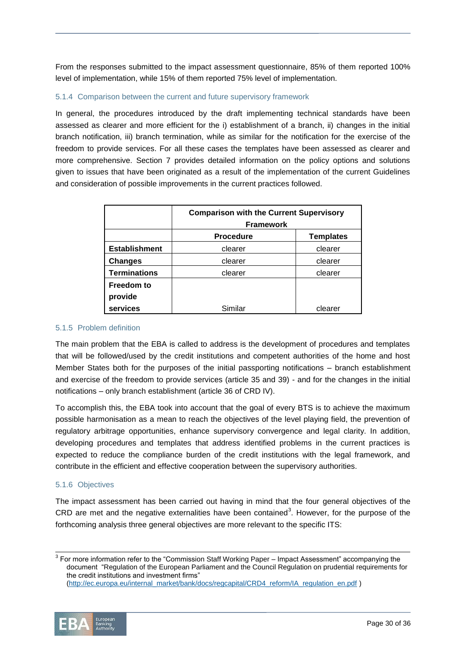From the responses submitted to the impact assessment questionnaire, 85% of them reported 100% level of implementation, while 15% of them reported 75% level of implementation.

#### 5.1.4 Comparison between the current and future supervisory framework

In general, the procedures introduced by the draft implementing technical standards have been assessed as clearer and more efficient for the i) establishment of a branch, ii) changes in the initial branch notification, iii) branch termination, while as similar for the notification for the exercise of the freedom to provide services. For all these cases the templates have been assessed as clearer and more comprehensive. Section 7 provides detailed information on the policy options and solutions given to issues that have been originated as a result of the implementation of the current Guidelines and consideration of possible improvements in the current practices followed.

|                      | <b>Comparison with the Current Supervisory</b><br><b>Framework</b> |                  |  |  |  |  |
|----------------------|--------------------------------------------------------------------|------------------|--|--|--|--|
|                      | <b>Procedure</b>                                                   | <b>Templates</b> |  |  |  |  |
| <b>Establishment</b> | clearer                                                            | clearer          |  |  |  |  |
| <b>Changes</b>       | clearer                                                            | clearer          |  |  |  |  |
| <b>Terminations</b>  | clearer                                                            | clearer          |  |  |  |  |
| <b>Freedom to</b>    |                                                                    |                  |  |  |  |  |
| provide              |                                                                    |                  |  |  |  |  |
| services             | Similar                                                            | clearer          |  |  |  |  |

#### 5.1.5 Problem definition

The main problem that the EBA is called to address is the development of procedures and templates that will be followed/used by the credit institutions and competent authorities of the home and host Member States both for the purposes of the initial passporting notifications – branch establishment and exercise of the freedom to provide services (article 35 and 39) - and for the changes in the initial notifications – only branch establishment (article 36 of CRD IV).

To accomplish this, the EBA took into account that the goal of every BTS is to achieve the maximum possible harmonisation as a mean to reach the objectives of the level playing field, the prevention of regulatory arbitrage opportunities, enhance supervisory convergence and legal clarity. In addition, developing procedures and templates that address identified problems in the current practices is expected to reduce the compliance burden of the credit institutions with the legal framework, and contribute in the efficient and effective cooperation between the supervisory authorities.

#### 5.1.6 Objectives

The impact assessment has been carried out having in mind that the four general objectives of the CRD are met and the negative externalities have been contained<sup>3</sup>. However, for the purpose of the forthcoming analysis three general objectives are more relevant to the specific ITS:

<sup>3</sup> For more information refer to the "Commission Staff Working Paper – Impact Assessment" accompanying the document "Regulation of the European Parliament and the Council Regulation on prudential requirements for the credit institutions and investment firms" [\(http://ec.europa.eu/internal\\_market/bank/docs/regcapital/CRD4\\_reform/IA\\_regulation\\_en.pdf](http://ec.europa.eu/internal_market/bank/docs/regcapital/CRD4_reform/IA_regulation_en.pdf) )

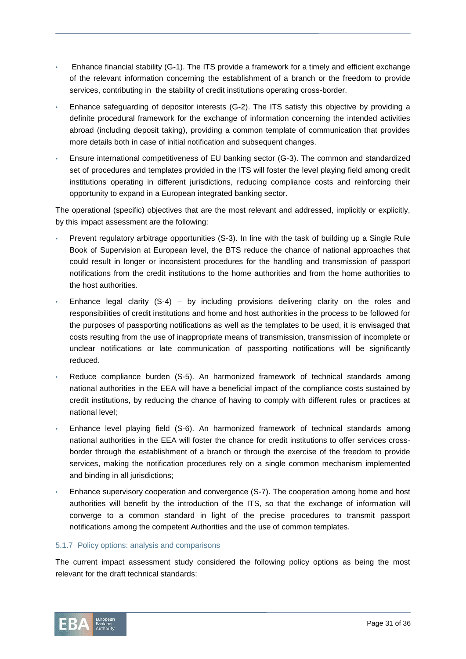- Enhance financial stability (G-1). The ITS provide a framework for a timely and efficient exchange of the relevant information concerning the establishment of a branch or the freedom to provide services, contributing in the stability of credit institutions operating cross-border.
- Enhance safeguarding of depositor interests (G-2). The ITS satisfy this objective by providing a definite procedural framework for the exchange of information concerning the intended activities abroad (including deposit taking), providing a common template of communication that provides more details both in case of initial notification and subsequent changes.
- Ensure international competitiveness of EU banking sector (G-3). The common and standardized set of procedures and templates provided in the ITS will foster the level playing field among credit institutions operating in different jurisdictions, reducing compliance costs and reinforcing their opportunity to expand in a European integrated banking sector.

The operational (specific) objectives that are the most relevant and addressed, implicitly or explicitly, by this impact assessment are the following:

- Prevent regulatory arbitrage opportunities (S-3). In line with the task of building up a Single Rule Book of Supervision at European level, the BTS reduce the chance of national approaches that could result in longer or inconsistent procedures for the handling and transmission of passport notifications from the credit institutions to the home authorities and from the home authorities to the host authorities.
- Enhance legal clarity  $(S-4)$  by including provisions delivering clarity on the roles and responsibilities of credit institutions and home and host authorities in the process to be followed for the purposes of passporting notifications as well as the templates to be used, it is envisaged that costs resulting from the use of inappropriate means of transmission, transmission of incomplete or unclear notifications or late communication of passporting notifications will be significantly reduced.
- Reduce compliance burden (S-5). An harmonized framework of technical standards among national authorities in the EEA will have a beneficial impact of the compliance costs sustained by credit institutions, by reducing the chance of having to comply with different rules or practices at national level;
- Enhance level playing field (S-6). An harmonized framework of technical standards among national authorities in the EEA will foster the chance for credit institutions to offer services crossborder through the establishment of a branch or through the exercise of the freedom to provide services, making the notification procedures rely on a single common mechanism implemented and binding in all jurisdictions;
- Enhance supervisory cooperation and convergence (S-7). The cooperation among home and host authorities will benefit by the introduction of the ITS, so that the exchange of information will converge to a common standard in light of the precise procedures to transmit passport notifications among the competent Authorities and the use of common templates.

#### 5.1.7 Policy options: analysis and comparisons

The current impact assessment study considered the following policy options as being the most relevant for the draft technical standards:

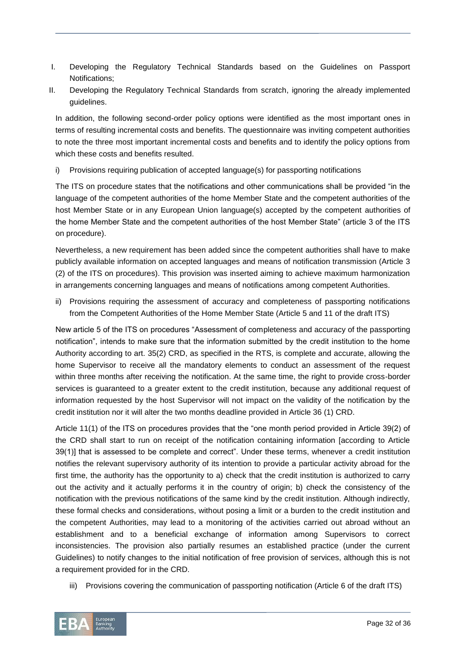- I. Developing the Regulatory Technical Standards based on the Guidelines on Passport Notifications;
- II. Developing the Regulatory Technical Standards from scratch, ignoring the already implemented guidelines.

In addition, the following second-order policy options were identified as the most important ones in terms of resulting incremental costs and benefits. The questionnaire was inviting competent authorities to note the three most important incremental costs and benefits and to identify the policy options from which these costs and benefits resulted.

i) Provisions requiring publication of accepted language(s) for passporting notifications

The ITS on procedure states that the notifications and other communications shall be provided "in the language of the competent authorities of the home Member State and the competent authorities of the host Member State or in any European Union language(s) accepted by the competent authorities of the home Member State and the competent authorities of the host Member State" (article 3 of the ITS on procedure).

Nevertheless, a new requirement has been added since the competent authorities shall have to make publicly available information on accepted languages and means of notification transmission (Article 3 (2) of the ITS on procedures). This provision was inserted aiming to achieve maximum harmonization in arrangements concerning languages and means of notifications among competent Authorities.

ii) Provisions requiring the assessment of accuracy and completeness of passporting notifications from the Competent Authorities of the Home Member State (Article 5 and 11 of the draft ITS)

New article 5 of the ITS on procedures "Assessment of completeness and accuracy of the passporting notification", intends to make sure that the information submitted by the credit institution to the home Authority according to art. 35(2) CRD, as specified in the RTS, is complete and accurate, allowing the home Supervisor to receive all the mandatory elements to conduct an assessment of the request within three months after receiving the notification. At the same time, the right to provide cross-border services is guaranteed to a greater extent to the credit institution, because any additional request of information requested by the host Supervisor will not impact on the validity of the notification by the credit institution nor it will alter the two months deadline provided in Article 36 (1) CRD.

Article 11(1) of the ITS on procedures provides that the "one month period provided in Article 39(2) of the CRD shall start to run on receipt of the notification containing information [according to Article 39(1)] that is assessed to be complete and correct". Under these terms, whenever a credit institution notifies the relevant supervisory authority of its intention to provide a particular activity abroad for the first time, the authority has the opportunity to a) check that the credit institution is authorized to carry out the activity and it actually performs it in the country of origin; b) check the consistency of the notification with the previous notifications of the same kind by the credit institution. Although indirectly, these formal checks and considerations, without posing a limit or a burden to the credit institution and the competent Authorities, may lead to a monitoring of the activities carried out abroad without an establishment and to a beneficial exchange of information among Supervisors to correct inconsistencies. The provision also partially resumes an established practice (under the current Guidelines) to notify changes to the initial notification of free provision of services, although this is not a requirement provided for in the CRD.

iii) Provisions covering the communication of passporting notification (Article 6 of the draft ITS)

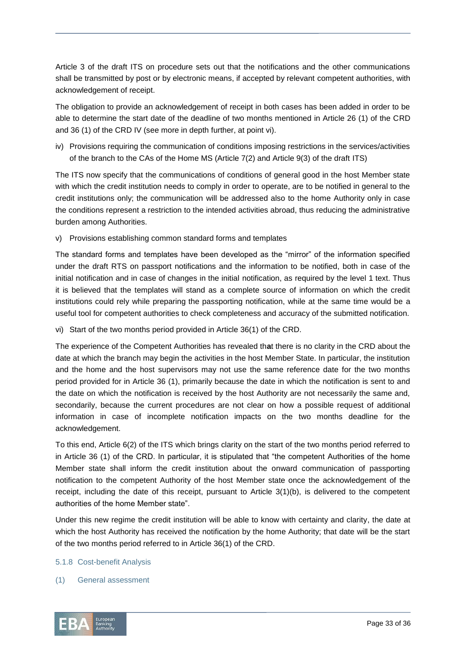Article 3 of the draft ITS on procedure sets out that the notifications and the other communications shall be transmitted by post or by electronic means, if accepted by relevant competent authorities, with acknowledgement of receipt.

The obligation to provide an acknowledgement of receipt in both cases has been added in order to be able to determine the start date of the deadline of two months mentioned in Article 26 (1) of the CRD and 36 (1) of the CRD IV (see more in depth further, at point vi).

iv) Provisions requiring the communication of conditions imposing restrictions in the services/activities of the branch to the CAs of the Home MS (Article 7(2) and Article 9(3) of the draft ITS)

The ITS now specify that the communications of conditions of general good in the host Member state with which the credit institution needs to comply in order to operate, are to be notified in general to the credit institutions only; the communication will be addressed also to the home Authority only in case the conditions represent a restriction to the intended activities abroad, thus reducing the administrative burden among Authorities.

v) Provisions establishing common standard forms and templates

The standard forms and templates have been developed as the "mirror" of the information specified under the draft RTS on passport notifications and the information to be notified, both in case of the initial notification and in case of changes in the initial notification, as required by the level 1 text. Thus it is believed that the templates will stand as a complete source of information on which the credit institutions could rely while preparing the passporting notification, while at the same time would be a useful tool for competent authorities to check completeness and accuracy of the submitted notification.

vi) Start of the two months period provided in Article 36(1) of the CRD.

The experience of the Competent Authorities has revealed th**a**t there is no clarity in the CRD about the date at which the branch may begin the activities in the host Member State. In particular, the institution and the home and the host supervisors may not use the same reference date for the two months period provided for in Article 36 (1), primarily because the date in which the notification is sent to and the date on which the notification is received by the host Authority are not necessarily the same and, secondarily, because the current procedures are not clear on how a possible request of additional information in case of incomplete notification impacts on the two months deadline for the acknowledgement.

To this end, Article 6(2) of the ITS which brings clarity on the start of the two months period referred to in Article 36 (1) of the CRD. In particular, it is stipulated that "the competent Authorities of the home Member state shall inform the credit institution about the onward communication of passporting notification to the competent Authority of the host Member state once the acknowledgement of the receipt, including the date of this receipt, pursuant to Article 3(1)(b), is delivered to the competent authorities of the home Member state".

Under this new regime the credit institution will be able to know with certainty and clarity, the date at which the host Authority has received the notification by the home Authority; that date will be the start of the two months period referred to in Article 36(1) of the CRD.

- 5.1.8 Cost-benefit Analysis
- (1) General assessment

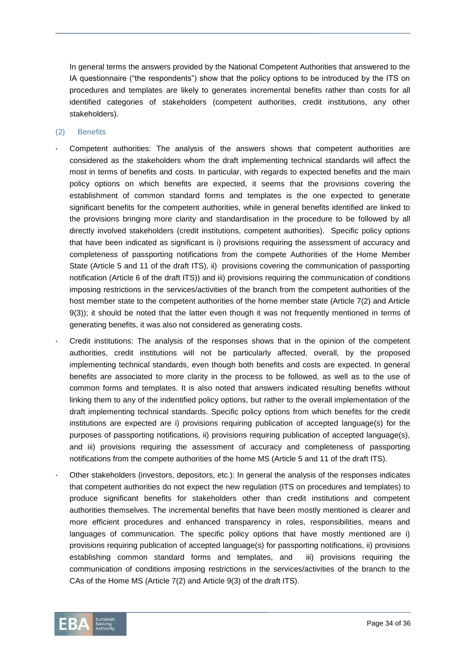In general terms the answers provided by the National Competent Authorities that answered to the IA questionnaire ("the respondents") show that the policy options to be introduced by the ITS on procedures and templates are likely to generates incremental benefits rather than costs for all identified categories of stakeholders (competent authorities, credit institutions, any other stakeholders).

- (2) Benefits
- Competent authorities: The analysis of the answers shows that competent authorities are considered as the stakeholders whom the draft implementing technical standards will affect the most in terms of benefits and costs. In particular, with regards to expected benefits and the main policy options on which benefits are expected, it seems that the provisions covering the establishment of common standard forms and templates is the one expected to generate significant benefits for the competent authorities, while in general benefits identified are linked to the provisions bringing more clarity and standardisation in the procedure to be followed by all directly involved stakeholders (credit institutions, competent authorities). Specific policy options that have been indicated as significant is i) provisions requiring the assessment of accuracy and completeness of passporting notifications from the compete Authorities of the Home Member State (Article 5 and 11 of the draft ITS), ii) provisions covering the communication of passporting notification (Article 6 of the draft ITS)) and iii) provisions requiring the communication of conditions imposing restrictions in the services/activities of the branch from the competent authorities of the host member state to the competent authorities of the home member state (Article 7(2) and Article 9(3)); it should be noted that the latter even though it was not frequently mentioned in terms of generating benefits, it was also not considered as generating costs.
- Credit institutions: The analysis of the responses shows that in the opinion of the competent authorities, credit institutions will not be particularly affected, overall, by the proposed implementing technical standards, even though both benefits and costs are expected. In general benefits are associated to more clarity in the process to be followed, as well as to the use of common forms and templates. It is also noted that answers indicated resulting benefits without linking them to any of the indentified policy options, but rather to the overall implementation of the draft implementing technical standards. Specific policy options from which benefits for the credit institutions are expected are i) provisions requiring publication of accepted language(s) for the purposes of passporting notifications, ii) provisions requiring publication of accepted language(s), and iii) provisions requiring the assessment of accuracy and completeness of passporting notifications from the compete authorities of the home MS (Article 5 and 11 of the draft ITS).
- Other stakeholders (investors, depositors, etc.): In general the analysis of the responses indicates that competent authorities do not expect the new regulation (ITS on procedures and templates) to produce significant benefits for stakeholders other than credit institutions and competent authorities themselves. The incremental benefits that have been mostly mentioned is clearer and more efficient procedures and enhanced transparency in roles, responsibilities, means and languages of communication. The specific policy options that have mostly mentioned are i) provisions requiring publication of accepted language(s) for passporting notifications, ii) provisions establishing common standard forms and templates, and iii) provisions requiring the communication of conditions imposing restrictions in the services/activities of the branch to the CAs of the Home MS (Article 7(2) and Article 9(3) of the draft ITS).

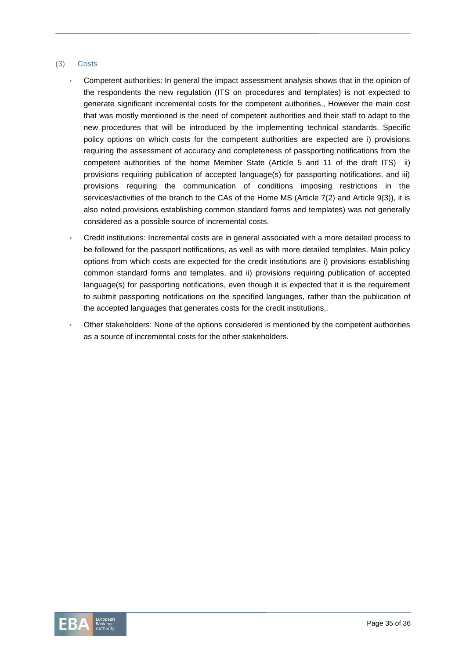#### (3) Costs

- Competent authorities: In general the impact assessment analysis shows that in the opinion of the respondents the new regulation (ITS on procedures and templates) is not expected to generate significant incremental costs for the competent authorities., However the main cost that was mostly mentioned is the need of competent authorities and their staff to adapt to the new procedures that will be introduced by the implementing technical standards. Specific policy options on which costs for the competent authorities are expected are i) provisions requiring the assessment of accuracy and completeness of passporting notifications from the competent authorities of the home Member State (Article 5 and 11 of the draft ITS) ii) provisions requiring publication of accepted language(s) for passporting notifications, and iii) provisions requiring the communication of conditions imposing restrictions in the services/activities of the branch to the CAs of the Home MS (Article 7(2) and Article 9(3)), it is also noted provisions establishing common standard forms and templates) was not generally considered as a possible source of incremental costs.
- Credit institutions: Incremental costs are in general associated with a more detailed process to be followed for the passport notifications, as well as with more detailed templates. Main policy options from which costs are expected for the credit institutions are i) provisions establishing common standard forms and templates, and ii) provisions requiring publication of accepted language(s) for passporting notifications, even though it is expected that it is the requirement to submit passporting notifications on the specified languages, rather than the publication of the accepted languages that generates costs for the credit institutions,.
- Other stakeholders: None of the options considered is mentioned by the competent authorities as a source of incremental costs for the other stakeholders.